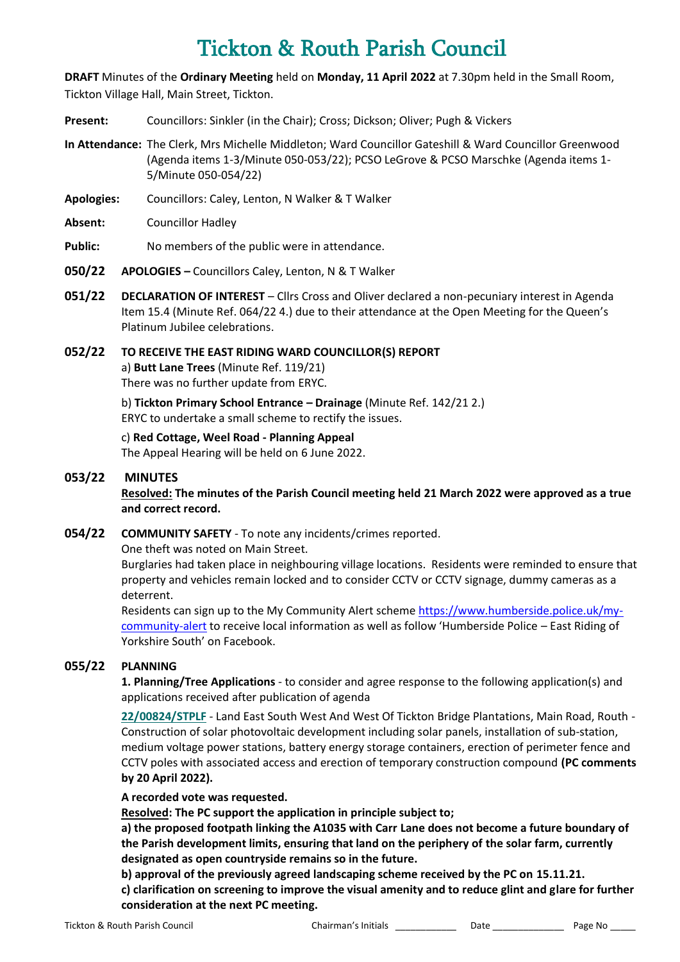# Tickton & Routh Parish Council

**DRAFT** Minutes of the **Ordinary Meeting** held on **Monday, 11 April 2022** at 7.30pm held in the Small Room, Tickton Village Hall, Main Street, Tickton.

- **Present:** Councillors: Sinkler (in the Chair); Cross; Dickson; Oliver; Pugh & Vickers
- **In Attendance:** The Clerk, Mrs Michelle Middleton; Ward Councillor Gateshill & Ward Councillor Greenwood (Agenda items 1-3/Minute 050-053/22); PCSO LeGrove & PCSO Marschke (Agenda items 1- 5/Minute 050-054/22)
- **Apologies:** Councillors: Caley, Lenton, N Walker & T Walker
- **Absent:** Councillor Hadley
- **Public:** No members of the public were in attendance.
- **050/22 APOLOGIES –** Councillors Caley, Lenton, N & T Walker
- **051/22 DECLARATION OF INTEREST** Cllrs Cross and Oliver declared a non-pecuniary interest in Agenda Item 15.4 (Minute Ref. 064/22 4.) due to their attendance at the Open Meeting for the Queen's Platinum Jubilee celebrations.

## **052/22 TO RECEIVE THE EAST RIDING WARD COUNCILLOR(S) REPORT** a) **Butt Lane Trees** (Minute Ref. 119/21) There was no further update from ERYC.

b) **Tickton Primary School Entrance – Drainage** (Minute Ref. 142/21 2.) ERYC to undertake a small scheme to rectify the issues.

c) **Red Cottage, Weel Road - Planning Appeal** The Appeal Hearing will be held on 6 June 2022.

# **053/22 MINUTES**

**Resolved: The minutes of the Parish Council meeting held 21 March 2022 were approved as a true and correct record.**

**054/22 COMMUNITY SAFETY** - To note any incidents/crimes reported.

One theft was noted on Main Street.

Burglaries had taken place in neighbouring village locations. Residents were reminded to ensure that property and vehicles remain locked and to consider CCTV or CCTV signage, dummy cameras as a deterrent.

Residents can sign up to the My Community Alert scheme [https://www.humberside.police.uk/my](https://www.humberside.police.uk/my-community-alert)[community-alert](https://www.humberside.police.uk/my-community-alert) to receive local information as well as follow 'Humberside Police – East Riding of Yorkshire South' on Facebook.

# **055/22 PLANNING**

**1. Planning/Tree Applications** - to consider and agree response to the following application(s) and applications received after publication of agenda

**[22/00824/STPLF](https://newplanningaccess.eastriding.gov.uk/newplanningaccess/PLAN/22/00824/STPLF)** - Land East South West And West Of Tickton Bridge Plantations, Main Road, Routh - Construction of solar photovoltaic development including solar panels, installation of sub-station, medium voltage power stations, battery energy storage containers, erection of perimeter fence and CCTV poles with associated access and erection of temporary construction compound **(PC comments by 20 April 2022).**

## **A recorded vote was requested.**

**Resolved: The PC support the application in principle subject to;**

**a) the proposed footpath linking the A1035 with Carr Lane does not become a future boundary of the Parish development limits, ensuring that land on the periphery of the solar farm, currently designated as open countryside remains so in the future.**

**b) approval of the previously agreed landscaping scheme received by the PC on 15.11.21.**

**c) clarification on screening to improve the visual amenity and to reduce glint and glare for further consideration at the next PC meeting.**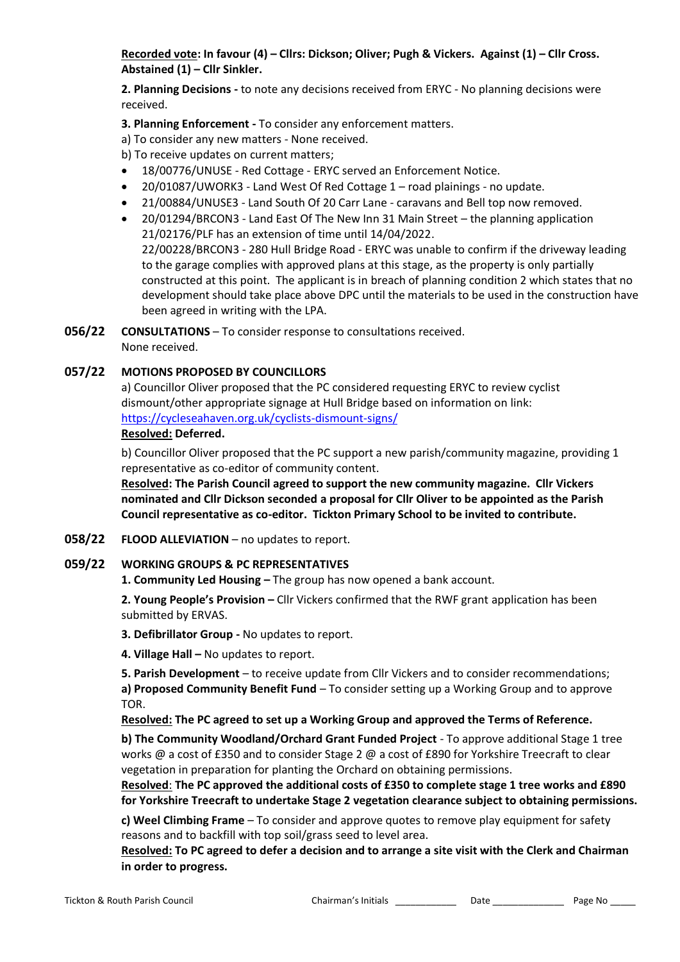**Recorded vote: In favour (4) – Cllrs: Dickson; Oliver; Pugh & Vickers. Against (1) – Cllr Cross. Abstained (1) – Cllr Sinkler.**

**2. Planning Decisions -** to note any decisions received from ERYC - No planning decisions were received.

**3. Planning Enforcement -** To consider any enforcement matters.

- a) To consider any new matters None received.
- b) To receive updates on current matters;
- 18/00776/UNUSE Red Cottage ERYC served an Enforcement Notice.
- 20/01087/UWORK3 Land West Of Red Cottage 1 road plainings no update.
- 21/00884/UNUSE3 Land South Of 20 Carr Lane caravans and Bell top now removed.
- 20/01294/BRCON3 Land East Of The New Inn 31 Main Street the planning application 21/02176/PLF has an extension of time until 14/04/2022. 22/00228/BRCON3 - 280 Hull Bridge Road - ERYC was unable to confirm if the driveway leading to the garage complies with approved plans at this stage, as the property is only partially constructed at this point. The applicant is in breach of planning condition 2 which states that no development should take place above DPC until the materials to be used in the construction have been agreed in writing with the LPA.
- **056/22 CONSULTATIONS** To consider response to consultations received. None received.

## **057/22 MOTIONS PROPOSED BY COUNCILLORS**

a) Councillor Oliver proposed that the PC considered requesting ERYC to review cyclist dismount/other appropriate signage at Hull Bridge based on information on link: <https://cycleseahaven.org.uk/cyclists-dismount-signs/>

# **Resolved: Deferred.**

b) Councillor Oliver proposed that the PC support a new parish/community magazine, providing 1 representative as co-editor of community content.

**Resolved: The Parish Council agreed to support the new community magazine. Cllr Vickers nominated and Cllr Dickson seconded a proposal for Cllr Oliver to be appointed as the Parish Council representative as co-editor. Tickton Primary School to be invited to contribute.**

**058/22 FLOOD ALLEVIATION** – no updates to report.

#### **059/22 WORKING GROUPS & PC REPRESENTATIVES**

**1. Community Led Housing –** The group has now opened a bank account.

**2. Young People's Provision –** Cllr Vickers confirmed that the RWF grant application has been submitted by ERVAS.

**3. Defibrillator Group -** No updates to report.

**4. Village Hall –** No updates to report.

**5. Parish Development** – to receive update from Cllr Vickers and to consider recommendations; **a) Proposed Community Benefit Fund** – To consider setting up a Working Group and to approve TOR.

**Resolved: The PC agreed to set up a Working Group and approved the Terms of Reference.**

**b) The Community Woodland/Orchard Grant Funded Project** - To approve additional Stage 1 tree works @ a cost of £350 and to consider Stage 2 @ a cost of £890 for Yorkshire Treecraft to clear vegetation in preparation for planting the Orchard on obtaining permissions.

**Resolved**: **The PC approved the additional costs of £350 to complete stage 1 tree works and £890 for Yorkshire Treecraft to undertake Stage 2 vegetation clearance subject to obtaining permissions.** 

**c) Weel Climbing Frame** – To consider and approve quotes to remove play equipment for safety reasons and to backfill with top soil/grass seed to level area.

**Resolved: To PC agreed to defer a decision and to arrange a site visit with the Clerk and Chairman in order to progress.**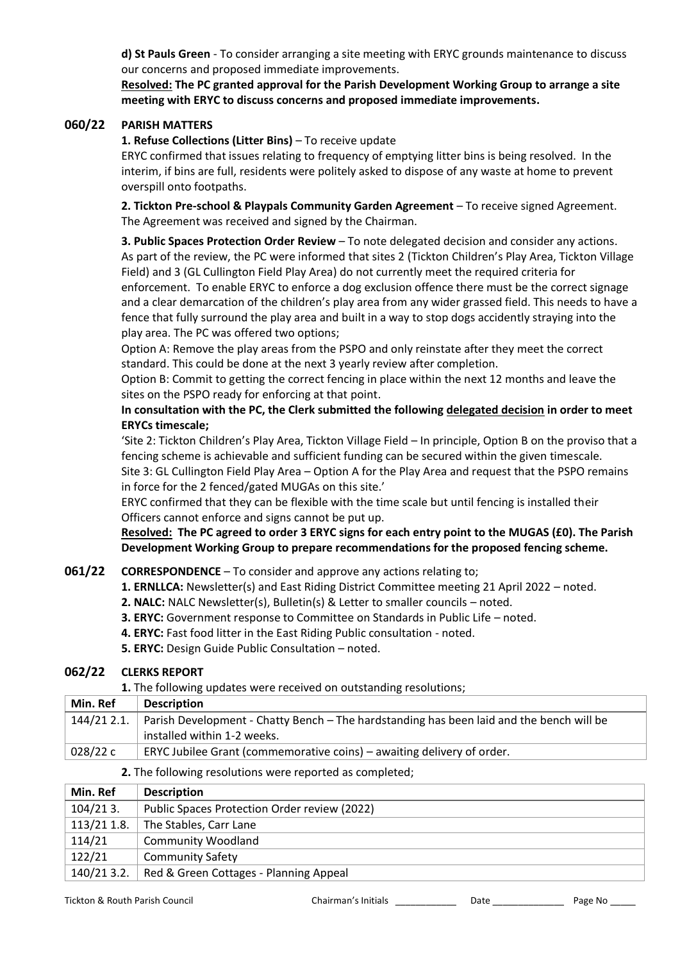**d) St Pauls Green** - To consider arranging a site meeting with ERYC grounds maintenance to discuss our concerns and proposed immediate improvements.

**Resolved: The PC granted approval for the Parish Development Working Group to arrange a site meeting with ERYC to discuss concerns and proposed immediate improvements.**

#### **060/22 PARISH MATTERS**

**1. Refuse Collections (Litter Bins)** – To receive update

ERYC confirmed that issues relating to frequency of emptying litter bins is being resolved. In the interim, if bins are full, residents were politely asked to dispose of any waste at home to prevent overspill onto footpaths.

**2. Tickton Pre-school & Playpals Community Garden Agreement** – To receive signed Agreement. The Agreement was received and signed by the Chairman.

**3. Public Spaces Protection Order Review** – To note delegated decision and consider any actions. As part of the review, the PC were informed that sites 2 (Tickton Children's Play Area, Tickton Village Field) and 3 (GL Cullington Field Play Area) do not currently meet the required criteria for enforcement. To enable ERYC to enforce a dog exclusion offence there must be the correct signage and a clear demarcation of the children's play area from any wider grassed field. This needs to have a fence that fully surround the play area and built in a way to stop dogs accidently straying into the play area. The PC was offered two options;

Option A: Remove the play areas from the PSPO and only reinstate after they meet the correct standard. This could be done at the next 3 yearly review after completion.

Option B: Commit to getting the correct fencing in place within the next 12 months and leave the sites on the PSPO ready for enforcing at that point.

**In consultation with the PC, the Clerk submitted the following delegated decision in order to meet ERYCs timescale;**

'Site 2: Tickton Children's Play Area, Tickton Village Field – In principle, Option B on the proviso that a fencing scheme is achievable and sufficient funding can be secured within the given timescale. Site 3: GL Cullington Field Play Area – Option A for the Play Area and request that the PSPO remains

in force for the 2 fenced/gated MUGAs on this site.'

ERYC confirmed that they can be flexible with the time scale but until fencing is installed their Officers cannot enforce and signs cannot be put up.

**Resolved: The PC agreed to order 3 ERYC signs for each entry point to the MUGAS (£0). The Parish Development Working Group to prepare recommendations for the proposed fencing scheme.**

## **061/22 CORRESPONDENCE** – To consider and approve any actions relating to;

**1. ERNLLCA:** Newsletter(s) and East Riding District Committee meeting 21 April 2022 – noted.

- **2. NALC:** NALC Newsletter(s), Bulletin(s) & Letter to smaller councils noted.
- **3. ERYC:** Government response to Committee on Standards in Public Life noted.
- **4. ERYC:** Fast food litter in the East Riding Public consultation noted.
- **5. ERYC:** Design Guide Public Consultation noted.

#### **062/22 CLERKS REPORT**

**1.** The following updates were received on outstanding resolutions;

| Min. Ref | <b>Description</b>                                                                                   |
|----------|------------------------------------------------------------------------------------------------------|
|          | 144/21 2.1. Parish Development - Chatty Bench – The hardstanding has been laid and the bench will be |
|          | installed within 1-2 weeks.                                                                          |
| 028/22 c | ERYC Jubilee Grant (commemorative coins) – awaiting delivery of order.                               |

#### **2.** The following resolutions were reported as completed;

| Min. Ref    | <b>Description</b>                           |
|-------------|----------------------------------------------|
| $104/213$ . | Public Spaces Protection Order review (2022) |
| 113/21 1.8. | The Stables, Carr Lane                       |
| 114/21      | <b>Community Woodland</b>                    |
| 122/21      | <b>Community Safety</b>                      |
| 140/21 3.2. | Red & Green Cottages - Planning Appeal       |